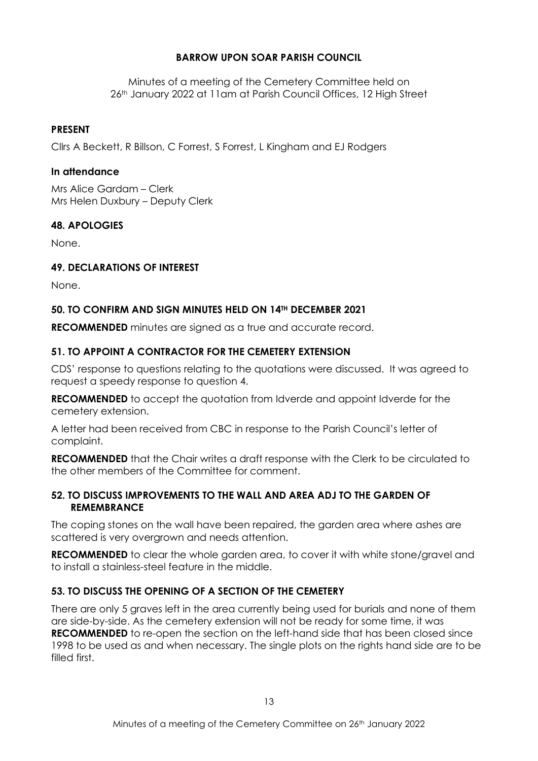## **BARROW UPON SOAR PARISH COUNCIL**

Minutes of a meeting of the Cemetery Committee held on 26th January 2022 at 11am at Parish Council Offices, 12 High Street

#### **PRESENT**

Cllrs A Beckett, R Billson, C Forrest, S Forrest, L Kingham and EJ Rodgers

#### **In attendance**

Mrs Alice Gardam – Clerk Mrs Helen Duxbury – Deputy Clerk

## **48. APOLOGIES**

None.

## **49. DECLARATIONS OF INTEREST**

None.

## **50. TO CONFIRM AND SIGN MINUTES HELD ON 14TH DECEMBER 2021**

**RECOMMENDED** minutes are signed as a true and accurate record.

## **51. TO APPOINT A CONTRACTOR FOR THE CEMETERY EXTENSION**

CDS' response to questions relating to the quotations were discussed. It was agreed to request a speedy response to question 4.

**RECOMMENDED** to accept the quotation from Idverde and appoint Idverde for the cemetery extension.

A letter had been received from CBC in response to the Parish Council's letter of complaint.

**RECOMMENDED** that the Chair writes a draft response with the Clerk to be circulated to the other members of the Committee for comment.

#### **52. TO DISCUSS IMPROVEMENTS TO THE WALL AND AREA ADJ TO THE GARDEN OF REMEMBRANCE**

The coping stones on the wall have been repaired, the garden area where ashes are scattered is very overgrown and needs attention.

**RECOMMENDED** to clear the whole garden area, to cover it with white stone/gravel and to install a stainless-steel feature in the middle.

# **53. TO DISCUSS THE OPENING OF A SECTION OF THE CEMETERY**

There are only 5 graves left in the area currently being used for burials and none of them are side-by-side. As the cemetery extension will not be ready for some time, it was **RECOMMENDED** to re-open the section on the left-hand side that has been closed since 1998 to be used as and when necessary. The single plots on the rights hand side are to be filled first.